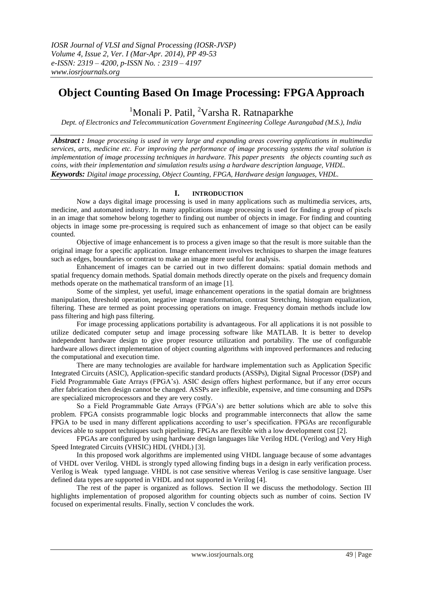# **Object Counting Based On Image Processing: FPGA Approach**

<sup>1</sup>Monali P. Patil, <sup>2</sup>Varsha R. Ratnaparkhe

*Dept. of Electronics and Telecommunication Government Engineering College Aurangabad (M.S.), India*

*Abstract : Image processing is used in very large and expanding areas covering applications in multimedia services, arts, medicine etc. For improving the performance of image processing systems the vital solution is implementation of image processing techniques in hardware. This paper presents the objects counting such as coins, with their implementation and simulation results using a hardware description language, VHDL. Keywords: Digital image processing, Object Counting, FPGA, Hardware design languages, VHDL.*

## **I. INTRODUCTION**

Now a days digital image processing is used in many applications such as multimedia services, arts, medicine, and automated industry. In many applications image processing is used for finding a group of pixels in an image that somehow belong together to finding out number of objects in image. For finding and counting objects in image some pre-processing is required such as enhancement of image so that object can be easily counted.

Objective of image enhancement is to process a given image so that the result is more suitable than the original image for a specific application. Image enhancement involves techniques to sharpen the image features such as edges, boundaries or contrast to make an image more useful for analysis.

Enhancement of images can be carried out in two different domains: spatial domain methods and spatial frequency domain methods. Spatial domain methods directly operate on the pixels and frequency domain methods operate on the mathematical transform of an image [1].

Some of the simplest, yet useful, image enhancement operations in the spatial domain are brightness manipulation, threshold operation, negative image transformation, contrast Stretching, histogram equalization, filtering. These are termed as point processing operations on image. Frequency domain methods include low pass filtering and high pass filtering.

For image processing applications portability is advantageous. For all applications it is not possible to utilize dedicated computer setup and image processing software like MATLAB. It is better to develop independent hardware design to give proper resource utilization and portability. The use of configurable hardware allows direct implementation of object counting algorithms with improved performances and reducing the computational and execution time.

There are many technologies are available for hardware implementation such as Application Specific Integrated Circuits (ASIC), Application-specific standard products (ASSPs), Digital Signal Processor (DSP) and Field Programmable Gate Arrays (FPGA"s). ASIC design offers highest performance, but if any error occurs after fabrication then design cannot be changed. ASSPs are inflexible, expensive, and time consuming and DSPs are specialized microprocessors and they are very costly.

So a Field Programmable Gate Arrays (FPGA"s) are better solutions which are able to solve this problem. FPGA consists programmable logic blocks and programmable interconnects that allow the same FPGA to be used in many different applications according to user"s specification. FPGAs are reconfigurable devices able to support techniques such pipelining. FPGAs are flexible with a low development cost [2].

FPGAs are configured by using hardware design languages like Verilog HDL (Verilog) and Very High Speed Integrated Circuits (VHSIC) HDL (VHDL) [3].

In this proposed work algorithms are implemented using VHDL language because of some advantages of VHDL over Verilog. VHDL is strongly typed allowing finding bugs in a design in early verification process. Verilog is Weak typed language. VHDL is not case sensitive whereas Verilog is case sensitive language. User defined data types are supported in VHDL and not supported in Verilog [4].

The rest of the paper is organized as follows. Section II we discuss the methodology. Section III highlights implementation of proposed algorithm for counting objects such as number of coins. Section IV focused on experimental results. Finally, section V concludes the work.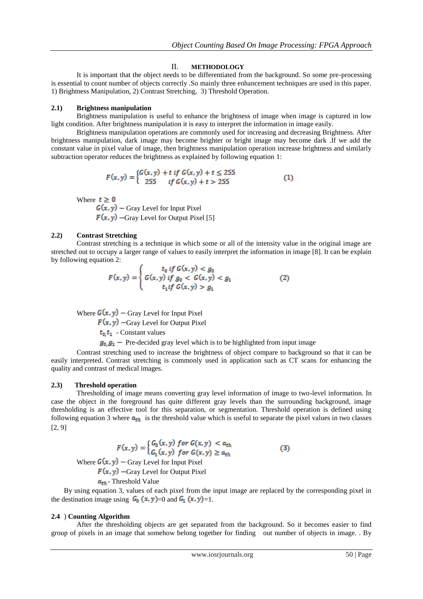#### II. **METHODOLOGY**

It is important that the object needs to be differentiated from the background. So some pre-processing is essential to count number of objects correctly .So mainly three enhancement techniques are used in this paper. 1) Brightness Manipulation, 2) Contrast Stretching, 3) Threshold Operation.

#### **2.1) Brightness manipulation**

Brightness manipulation is useful to enhance the brightness of image when image is captured in low light condition. After brightness manipulation it is easy to interpret the information in image easily.

Brightness manipulation operations are commonly used for increasing and decreasing Brightness. After brightness manipulation, dark image may become brighter or bright image may become dark .If we add the constant value in pixel value of image, then brightness manipulation operation increase brightness and similarly subtraction operator reduces the brightness as explained by following equation 1:

$$
F(x,y) = \begin{cases} G(x,y) + t & \text{if } G(x,y) + t \le 255\\ 255 & \text{if } G(x,y) + t > 255 \end{cases}
$$
(1)

Where  $t \geq 0$ 

 $G(x, y)$  – Gray Level for Input Pixel  $F(x, y)$  –Gray Level for Output Pixel [5]

#### **2.2) Contrast Stretching**

Contrast stretching is a technique in which some or all of the intensity value in the original image are stretched out to occupy a larger range of values to easily interpret the information in image [8]. It can be explain by following equation 2:

$$
F(x,y) = \begin{cases} t_0 \text{ if } G(x,y) < g_0 \\ G(x,y) \text{ if } g_0 < G(x,y) < g_1 \\ t_1 \text{ if } G(x,y) > g_1 \end{cases} \tag{2}
$$

Where  $G(x, y)$  – Gray Level for Input Pixel

 $F(x, y)$  –Gray Level for Output Pixel

 $t_0, t_1$  - Constant values

 $g_0$ ,  $g_1$  – Pre-decided gray level which is to be highlighted from input image

Contrast stretching used to increase the brightness of object compare to background so that it can be easily interpreted. Contrast stretching is commonly used in application such as CT scans for enhancing the quality and contrast of medical images.

### **2.3) Threshold operation**

Thresholding of image means converting gray level information of image to two-level information. In case the object in the foreground has quite different gray levels than the surrounding background, image thresholding is an effective tool for this separation, or segmentation. Threshold operation is defined using following equation 3 where  $a_{th}$  is the threshold value which is useful to separate the pixel values in two classes [2, 9]

$$
F(x, y) = \begin{cases} G_0(x, y) & \text{for } G(x, y) < a_{th} \\ G_1(x, y) & \text{for } G(x, y) \ge a_{th} \end{cases} \tag{3}
$$

Where  $G(x, y)$  – Gray Level for Input Pixel

 $F(x, y)$  –Gray Level for Output Pixel

 $a_{th}$ - Threshold Value

By using equation 3, values of each pixel from the input image are replaced by the corresponding pixel in the destination image using  $G_0(x, y) = 0$  and  $G_1(x, y) = 1$ .

#### **2.4** ) **Counting Algorithm**

After the thresholding objects are get separated from the background. So it becomes easier to find group of pixels in an image that somehow belong together for finding out number of objects in image. . By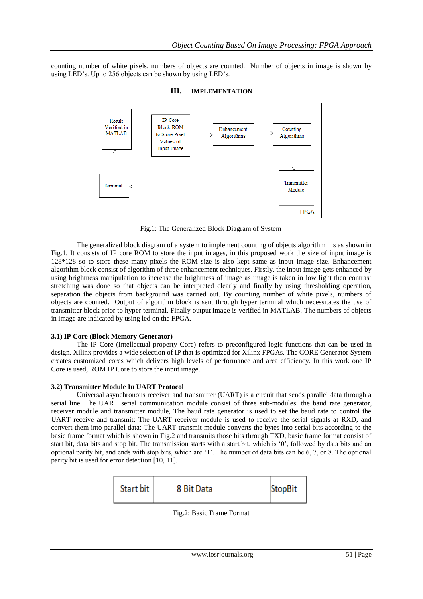counting number of white pixels, numbers of objects are counted. Number of objects in image is shown by using LED's. Up to 256 objects can be shown by using LED's.



**III. IMPLEMENTATION**

Fig.1: The Generalized Block Diagram of System

The generalized block diagram of a system to implement counting of objects algorithm is as shown in Fig.1. It consists of IP core ROM to store the input images, in this proposed work the size of input image is 128\*128 so to store these many pixels the ROM size is also kept same as input image size. Enhancement algorithm block consist of algorithm of three enhancement techniques. Firstly, the input image gets enhanced by using brightness manipulation to increase the brightness of image as image is taken in low light then contrast stretching was done so that objects can be interpreted clearly and finally by using thresholding operation, separation the objects from background was carried out. By counting number of white pixels, numbers of objects are counted. Output of algorithm block is sent through hyper terminal which necessitates the use of transmitter block prior to hyper terminal. Finally output image is verified in MATLAB. The numbers of objects in image are indicated by using led on the FPGA.

## **3.1) IP Core (Block Memory Generator)**

The IP Core (Intellectual property Core) refers to preconfigured logic functions that can be used in design. Xilinx provides a wide selection of IP that is optimized for Xilinx FPGAs. The CORE Generator System creates customized cores which delivers high levels of performance and area efficiency. In this work one IP Core is used, ROM IP Core to store the input image.

### **3.2) Transmitter Module In UART Protocol**

Universal asynchronous receiver and transmitter (UART) is a circuit that sends parallel data through a serial line. The UART serial communication module consist of three sub-modules: the baud rate generator, receiver module and transmitter module, The baud rate generator is used to set the baud rate to control the UART receive and transmit; The UART receiver module is used to receive the serial signals at RXD, and convert them into parallel data; The UART transmit module converts the bytes into serial bits according to the basic frame format which is shown in Fig.2 and transmits those bits through TXD, basic frame format consist of start bit, data bits and stop bit. The transmission starts with a start bit, which is '0', followed by data bits and an optional parity bit, and ends with stop bits, which are "1". The number of data bits can be 6, 7, or 8. The optional parity bit is used for error detection [10, 11].



Fig.2: Basic Frame Format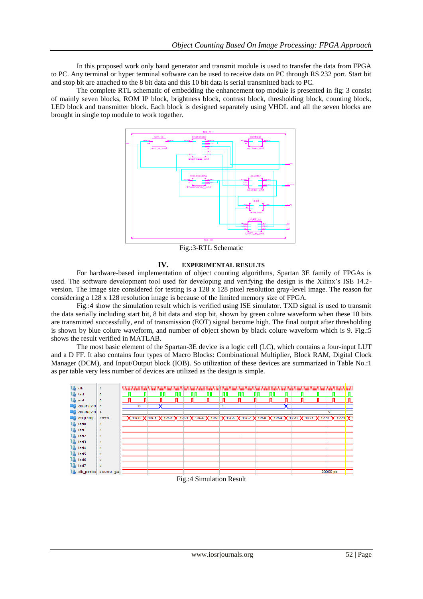In this proposed work only baud generator and transmit module is used to transfer the data from FPGA to PC. Any terminal or hyper terminal software can be used to receive data on PC through RS 232 port. Start bit and stop bit are attached to the 8 bit data and this 10 bit data is serial transmitted back to PC.

The complete RTL schematic of embedding the enhancement top module is presented in fig: 3 consist of mainly seven blocks, ROM IP block, brightness block, contrast block, thresholding block, counting block, LED block and transmitter block. Each block is designed separately using VHDL and all the seven blocks are brought in single top module to work together.



Fig.:3-RTL Schematic

## **IV. EXPERIMENTAL RESULTS**

For hardware-based implementation of object counting algorithms, Spartan 3E family of FPGAs is used. The software development tool used for developing and verifying the design is the Xilinx"s ISE 14.2 version. The image size considered for testing is a 128 x 128 pixel resolution gray-level image. The reason for considering a 128 x 128 resolution image is because of the limited memory size of FPGA.

Fig.:4 show the simulation result which is verified using ISE simulator. TXD signal is used to transmit the data serially including start bit, 8 bit data and stop bit, shown by green colure waveform when these 10 bits are transmitted successfully, end of transmission (EOT) signal become high. The final output after thresholding is shown by blue colure waveform, and number of object shown by black colure waveform which is 9. Fig.:5 shows the result verified in MATLAB.

The most basic element of the Spartan-3E device is a logic cell (LC), which contains a four-input LUT and a D FF. It also contains four types of Macro Blocks: Combinational Multiplier, Block RAM, Digital Clock Manager (DCM), and Input/Output block (IOB). So utilization of these devices are summarized in Table No.:1 as per table very less number of devices are utilized as the design is simple.



#### Fig.:4 Simulation Result